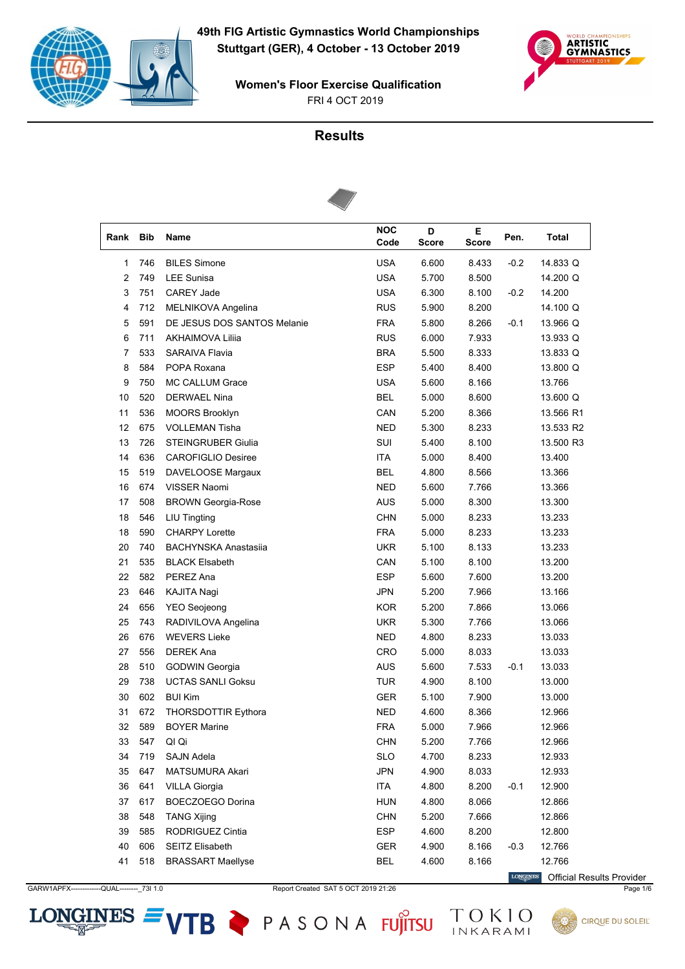



# **Results**



| Rank         | <b>Bib</b> | Name                        | <b>NOC</b><br>Code | D<br><b>Score</b> | Е<br><b>Score</b> | Pen.   | <b>Total</b> |
|--------------|------------|-----------------------------|--------------------|-------------------|-------------------|--------|--------------|
| $\mathbf{1}$ | 746        | <b>BILES Simone</b>         | <b>USA</b>         | 6.600             | 8.433             | $-0.2$ | 14.833 Q     |
| 2            | 749        | <b>LEE Sunisa</b>           | <b>USA</b>         | 5.700             | 8.500             |        | 14.200 Q     |
| 3            | 751        | <b>CAREY Jade</b>           | <b>USA</b>         | 6.300             | 8.100             | $-0.2$ | 14.200       |
| 4            | 712        | MELNIKOVA Angelina          | <b>RUS</b>         | 5.900             | 8.200             |        | 14.100 Q     |
| 5            | 591        | DE JESUS DOS SANTOS Melanie | <b>FRA</b>         | 5.800             | 8.266             | $-0.1$ | 13.966 Q     |
| 6            | 711        | AKHAIMOVA Liliia            | <b>RUS</b>         | 6.000             | 7.933             |        | 13.933 Q     |
| 7            | 533        | <b>SARAIVA Flavia</b>       | <b>BRA</b>         | 5.500             | 8.333             |        | 13.833 Q     |
| 8            | 584        | POPA Roxana                 | <b>ESP</b>         | 5.400             | 8.400             |        | 13.800 Q     |
| 9            | 750        | MC CALLUM Grace             | <b>USA</b>         | 5.600             | 8.166             |        | 13.766       |
| 10           | 520        | <b>DERWAEL Nina</b>         | <b>BEL</b>         | 5.000             | 8.600             |        | 13.600 Q     |
| 11           | 536        | <b>MOORS Brooklyn</b>       | CAN                | 5.200             | 8.366             |        | 13.566 R1    |
| 12           | 675        | <b>VOLLEMAN Tisha</b>       | <b>NED</b>         | 5.300             | 8.233             |        | 13.533 R2    |
| 13           | 726        | <b>STEINGRUBER Giulia</b>   | SUI                | 5.400             | 8.100             |        | 13.500 R3    |
| 14           | 636        | <b>CAROFIGLIO Desiree</b>   | <b>ITA</b>         | 5.000             | 8.400             |        | 13.400       |
| 15           | 519        | DAVELOOSE Margaux           | <b>BEL</b>         | 4.800             | 8.566             |        | 13.366       |
| 16           | 674        | <b>VISSER Naomi</b>         | <b>NED</b>         | 5.600             | 7.766             |        | 13.366       |
| 17           | 508        | <b>BROWN Georgia-Rose</b>   | <b>AUS</b>         | 5.000             | 8.300             |        | 13.300       |
| 18           | 546        | <b>LIU Tingting</b>         | <b>CHN</b>         | 5.000             | 8.233             |        | 13.233       |
| 18           | 590        | <b>CHARPY Lorette</b>       | <b>FRA</b>         | 5.000             | 8.233             |        | 13.233       |
| 20           | 740        | <b>BACHYNSKA Anastasiia</b> | <b>UKR</b>         | 5.100             | 8.133             |        | 13.233       |
| 21           | 535        | <b>BLACK Elsabeth</b>       | CAN                | 5.100             | 8.100             |        | 13.200       |
| 22           | 582        | PEREZ Ana                   | <b>ESP</b>         | 5.600             | 7.600             |        | 13.200       |
| 23           | 646        | KAJITA Nagi                 | <b>JPN</b>         | 5.200             | 7.966             |        | 13.166       |
| 24           | 656        | <b>YEO</b> Seojeong         | <b>KOR</b>         | 5.200             | 7.866             |        | 13.066       |
| 25           | 743        | RADIVILOVA Angelina         | <b>UKR</b>         | 5.300             | 7.766             |        | 13.066       |
| 26           | 676        | <b>WEVERS Lieke</b>         | <b>NED</b>         | 4.800             | 8.233             |        | 13.033       |
| 27           | 556        | <b>DEREK Ana</b>            | CRO                | 5.000             | 8.033             |        | 13.033       |
| 28           | 510        | <b>GODWIN Georgia</b>       | AUS                | 5.600             | 7.533             | $-0.1$ | 13.033       |
| 29           | 738        | <b>UCTAS SANLI Goksu</b>    | <b>TUR</b>         | 4.900             | 8.100             |        | 13.000       |
| 30           | 602        | <b>BUI Kim</b>              | <b>GER</b>         | 5.100             | 7.900             |        | 13.000       |
| 31           | 672        | <b>THORSDOTTIR Eythora</b>  | <b>NED</b>         | 4.600             | 8.366             |        | 12.966       |
| 32           | 589        | <b>BOYER Marine</b>         | <b>FRA</b>         | 5.000             | 7.966             |        | 12.966       |
| 33           | 547        | QI Qi                       | <b>CHN</b>         | 5.200             | 7.766             |        | 12.966       |
| 34           | 719        | SAJN Adela                  | <b>SLO</b>         | 4.700             | 8.233             |        | 12.933       |
| 35           | 647        | MATSUMURA Akari             | <b>JPN</b>         | 4.900             | 8.033             |        | 12.933       |
| 36           | 641        | <b>VILLA Giorgia</b>        | ITA                | 4.800             | 8.200             | $-0.1$ | 12.900       |
| 37           | 617        | BOECZOEGO Dorina            | <b>HUN</b>         | 4.800             | 8.066             |        | 12.866       |
| 38           | 548        | <b>TANG Xijing</b>          | <b>CHN</b>         | 5.200             | 7.666             |        | 12.866       |
| 39           | 585        | RODRIGUEZ Cintia            | <b>ESP</b>         | 4.600             | 8.200             |        | 12.800       |
| 40           | 606        | <b>SEITZ Elisabeth</b>      | GER                | 4.900             | 8.166             | $-0.3$ | 12.766       |
| 41           | 518        | <b>BRASSART Maellyse</b>    | BEL                | 4.600             | 8.166             |        | 12.766       |

GARW1APFX------------QUAL---------\_73I 1.0 Report Created SAT 5 OCT 2019 21:26 Page 1/6

 $LONGINES =$ 

VTB PASONA FUJITSU TOKIO

 $\label{eq:conformal} \begin{minipage}{.4\linewidth} \textbf{LONGINES} \end{minipage}$ Official Results Provider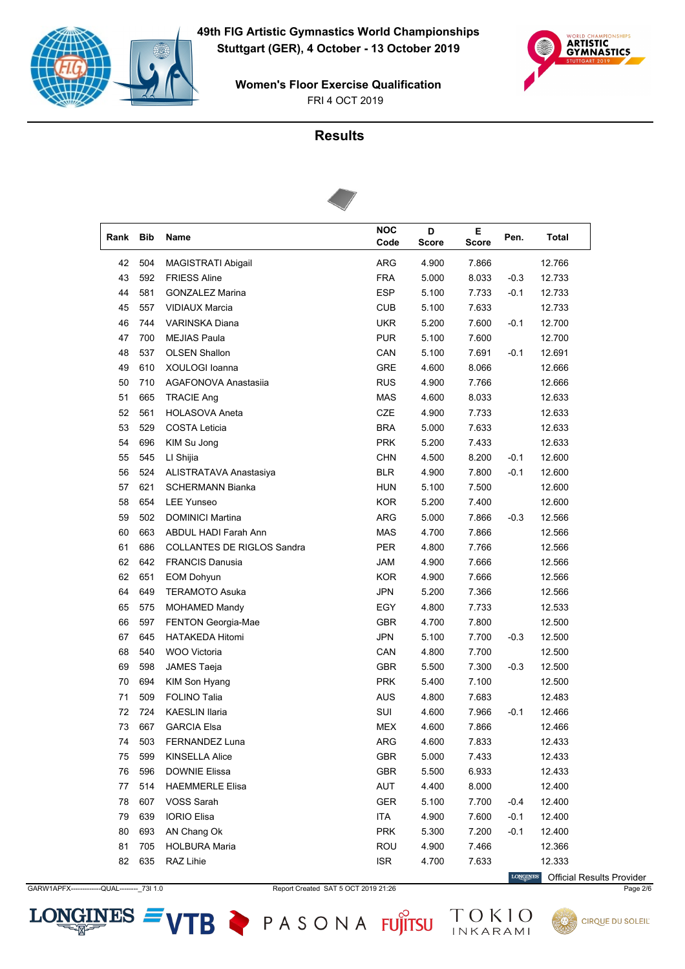



# **Results**



| Rank | <b>Bib</b> | Name                              | <b>NOC</b><br>Code | D<br><b>Score</b> | Е<br><b>Score</b> | Pen.   | <b>Total</b> |
|------|------------|-----------------------------------|--------------------|-------------------|-------------------|--------|--------------|
| 42   | 504        | MAGISTRATI Abigail                | ARG                | 4.900             | 7.866             |        | 12.766       |
| 43   | 592        | <b>FRIESS Aline</b>               | <b>FRA</b>         | 5.000             | 8.033             | $-0.3$ | 12.733       |
| 44   | 581        | <b>GONZALEZ Marina</b>            | <b>ESP</b>         | 5.100             | 7.733             | $-0.1$ | 12.733       |
| 45   | 557        | <b>VIDIAUX Marcia</b>             | <b>CUB</b>         | 5.100             | 7.633             |        | 12.733       |
| 46   | 744        | VARINSKA Diana                    | <b>UKR</b>         | 5.200             | 7.600             | $-0.1$ | 12.700       |
| 47   | 700        | <b>MEJIAS Paula</b>               | <b>PUR</b>         | 5.100             | 7.600             |        | 12.700       |
| 48   | 537        | <b>OLSEN Shallon</b>              | CAN                | 5.100             | 7.691             | $-0.1$ | 12.691       |
| 49   | 610        | XOULOGI Ioanna                    | <b>GRE</b>         | 4.600             | 8.066             |        | 12.666       |
| 50   | 710        | AGAFONOVA Anastasija              | <b>RUS</b>         | 4.900             | 7.766             |        | 12.666       |
| 51   | 665        | <b>TRACIE Ang</b>                 | <b>MAS</b>         | 4.600             | 8.033             |        | 12.633       |
| 52   | 561        | <b>HOLASOVA Aneta</b>             | <b>CZE</b>         | 4.900             | 7.733             |        | 12.633       |
| 53   | 529        | <b>COSTA Leticia</b>              | <b>BRA</b>         | 5.000             | 7.633             |        | 12.633       |
| 54   | 696        | KIM Su Jong                       | <b>PRK</b>         | 5.200             | 7.433             |        | 12.633       |
| 55   | 545        | LI Shijia                         | <b>CHN</b>         | 4.500             | 8.200             | $-0.1$ | 12.600       |
| 56   | 524        | ALISTRATAVA Anastasiya            | <b>BLR</b>         | 4.900             | 7.800             | $-0.1$ | 12.600       |
| 57   | 621        | <b>SCHERMANN Bianka</b>           | <b>HUN</b>         | 5.100             | 7.500             |        | 12.600       |
| 58   | 654        | <b>LEE Yunseo</b>                 | <b>KOR</b>         | 5.200             | 7.400             |        | 12.600       |
| 59   | 502        | <b>DOMINICI Martina</b>           | ARG                | 5.000             | 7.866             | $-0.3$ | 12.566       |
| 60   | 663        | <b>ABDUL HADI Farah Ann</b>       | <b>MAS</b>         | 4.700             | 7.866             |        | 12.566       |
| 61   | 686        | <b>COLLANTES DE RIGLOS Sandra</b> | <b>PER</b>         | 4.800             | 7.766             |        | 12.566       |
| 62   | 642        | <b>FRANCIS Danusia</b>            | JAM                | 4.900             | 7.666             |        | 12.566       |
| 62   | 651        | <b>EOM Dohyun</b>                 | <b>KOR</b>         | 4.900             | 7.666             |        | 12.566       |
| 64   | 649        | <b>TERAMOTO Asuka</b>             | <b>JPN</b>         | 5.200             | 7.366             |        | 12.566       |
| 65   | 575        | <b>MOHAMED Mandy</b>              | EGY                | 4.800             | 7.733             |        | 12.533       |
| 66   | 597        | <b>FENTON Georgia-Mae</b>         | <b>GBR</b>         | 4.700             | 7.800             |        | 12.500       |
| 67   | 645        | <b>HATAKEDA Hitomi</b>            | <b>JPN</b>         | 5.100             | 7.700             | $-0.3$ | 12.500       |
| 68   | 540        | WOO Victoria                      | CAN                | 4.800             | 7.700             |        | 12.500       |
| 69   | 598        | JAMES Taeja                       | <b>GBR</b>         | 5.500             | 7.300             | $-0.3$ | 12.500       |
| 70   | 694        | KIM Son Hyang                     | <b>PRK</b>         | 5.400             | 7.100             |        | 12.500       |
| 71   | 509        | <b>FOLINO Talia</b>               | <b>AUS</b>         | 4.800             | 7.683             |        | 12.483       |
| 72   | 724        | <b>KAESLIN Ilaria</b>             | SUI                | 4.600             | 7.966             | $-0.1$ | 12.466       |
| 73   | 667        | <b>GARCIA Elsa</b>                | <b>MEX</b>         | 4.600             | 7.866             |        | 12.466       |
| 74   | 503        | FERNANDEZ Luna                    | ARG                | 4.600             | 7.833             |        | 12.433       |
| 75   | 599        | <b>KINSELLA Alice</b>             | GBR                | 5.000             | 7.433             |        | 12.433       |
| 76   | 596        | <b>DOWNIE Elissa</b>              | GBR                | 5.500             | 6.933             |        | 12.433       |
| 77   | 514        | <b>HAEMMERLE Elisa</b>            | AUT                | 4.400             | 8.000             |        | 12.400       |
| 78   | 607        | VOSS Sarah                        | GER                | 5.100             | 7.700             | -0.4   | 12.400       |
| 79   | 639        | <b>IORIO Elisa</b>                | <b>ITA</b>         | 4.900             | 7.600             | $-0.1$ | 12.400       |
| 80   | 693        | AN Chang Ok                       | <b>PRK</b>         | 5.300             | 7.200             | $-0.1$ | 12.400       |
| 81   | 705        | <b>HOLBURA Maria</b>              | ROU                | 4.900             | 7.466             |        | 12.366       |
| 82   | 635        | RAZ Lihie                         | <b>ISR</b>         | 4.700             | 7.633             |        | 12.333       |

 $LONGINES =$ 

GARW1APFX------------QUAL---------\_73I 1.0 Report Created SAT 5 OCT 2019 21:26 Page 2/6

VTB PASONA FUJITSU TOKIO

 $\label{eq:conformal} \begin{minipage}{.4\linewidth} \textbf{LONGINES} \end{minipage}$ Official Results Provider

**CIRQUE DU SOLEIL**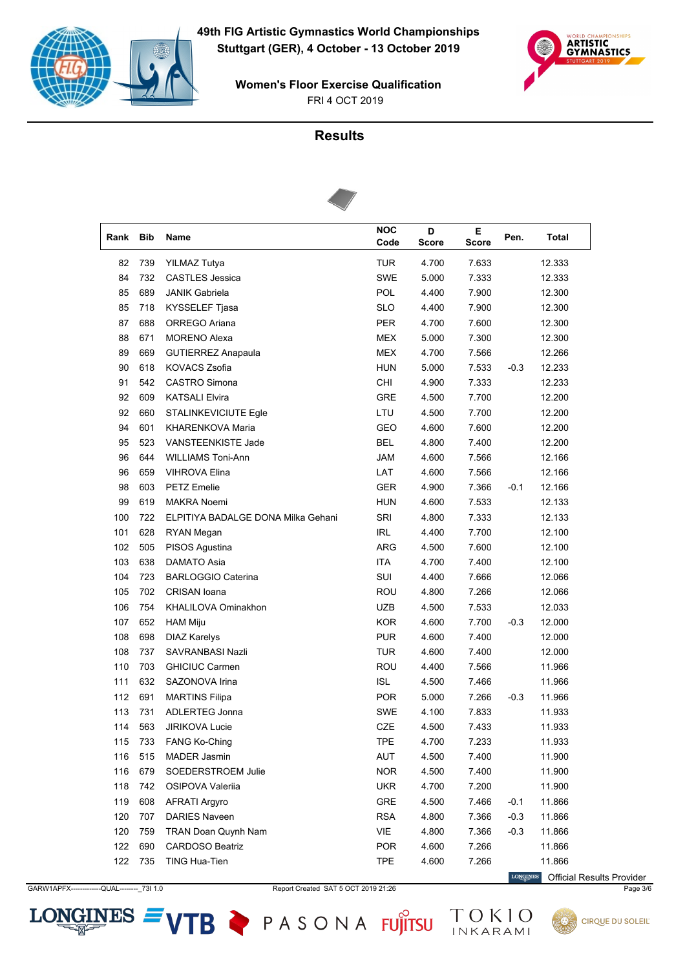



# **Results**



| Rank | <b>Bib</b> | Name                               | <b>NOC</b><br>Code | D<br><b>Score</b> | Е<br><b>Score</b> | Pen.   | <b>Total</b> |
|------|------------|------------------------------------|--------------------|-------------------|-------------------|--------|--------------|
| 82   | 739        | <b>YILMAZ Tutya</b>                | <b>TUR</b>         | 4.700             | 7.633             |        | 12.333       |
| 84   | 732        | <b>CASTLES Jessica</b>             | SWE                | 5.000             | 7.333             |        | 12.333       |
| 85   | 689        | <b>JANIK Gabriela</b>              | POL                | 4.400             | 7.900             |        | 12.300       |
| 85   | 718        | <b>KYSSELEF Tjasa</b>              | <b>SLO</b>         | 4.400             | 7.900             |        | 12.300       |
| 87   | 688        | ORREGO Ariana                      | <b>PER</b>         | 4.700             | 7.600             |        | 12.300       |
| 88   | 671        | <b>MORENO Alexa</b>                | MEX                | 5.000             | 7.300             |        | 12.300       |
| 89   | 669        | <b>GUTIERREZ Anapaula</b>          | <b>MEX</b>         | 4.700             | 7.566             |        | 12.266       |
| 90   | 618        | KOVACS Zsofia                      | <b>HUN</b>         | 5.000             | 7.533             | $-0.3$ | 12.233       |
| 91   | 542        | <b>CASTRO Simona</b>               | CHI                | 4.900             | 7.333             |        | 12.233       |
| 92   | 609        | <b>KATSALI Elvira</b>              | <b>GRE</b>         | 4.500             | 7.700             |        | 12.200       |
| 92   | 660        | <b>STALINKEVICIUTE Egle</b>        | LTU                | 4.500             | 7.700             |        | 12.200       |
| 94   | 601        | KHARENKOVA Maria                   | GEO                | 4.600             | 7.600             |        | 12.200       |
| 95   | 523        | VANSTEENKISTE Jade                 | <b>BEL</b>         | 4.800             | 7.400             |        | 12.200       |
| 96   | 644        | <b>WILLIAMS Toni-Ann</b>           | <b>JAM</b>         | 4.600             | 7.566             |        | 12.166       |
| 96   | 659        | <b>VIHROVA Elina</b>               | LAT                | 4.600             | 7.566             |        | 12.166       |
| 98   | 603        | <b>PETZ Emelie</b>                 | <b>GER</b>         | 4.900             | 7.366             | $-0.1$ | 12.166       |
| 99   | 619        | <b>MAKRA Noemi</b>                 | <b>HUN</b>         | 4.600             | 7.533             |        | 12.133       |
| 100  | 722        | ELPITIYA BADALGE DONA Milka Gehani | SRI                | 4.800             | 7.333             |        | 12.133       |
| 101  | 628        | RYAN Megan                         | <b>IRL</b>         | 4.400             | 7.700             |        | 12.100       |
| 102  | 505        | PISOS Agustina                     | <b>ARG</b>         | 4.500             | 7.600             |        | 12.100       |
| 103  | 638        | <b>DAMATO Asia</b>                 | <b>ITA</b>         | 4.700             | 7.400             |        | 12.100       |
| 104  | 723        | <b>BARLOGGIO Caterina</b>          | SUI                | 4.400             | 7.666             |        | 12.066       |
| 105  | 702        | <b>CRISAN</b> Ioana                | <b>ROU</b>         | 4.800             | 7.266             |        | 12.066       |
| 106  | 754        | KHALILOVA Ominakhon                | <b>UZB</b>         | 4.500             | 7.533             |        | 12.033       |
| 107  | 652        | <b>HAM Miju</b>                    | <b>KOR</b>         | 4.600             | 7.700             | $-0.3$ | 12.000       |
| 108  | 698        | <b>DIAZ Karelys</b>                | <b>PUR</b>         | 4.600             | 7.400             |        | 12.000       |
| 108  | 737        | SAVRANBASI Nazli                   | <b>TUR</b>         | 4.600             | 7.400             |        | 12.000       |
| 110  | 703        | <b>GHICIUC Carmen</b>              | ROU                | 4.400             | 7.566             |        | 11.966       |
| 111  | 632        | SAZONOVA Irina                     | <b>ISL</b>         | 4.500             | 7.466             |        | 11.966       |
| 112  | 691        | <b>MARTINS Filipa</b>              | <b>POR</b>         | 5.000             | 7.266             | $-0.3$ | 11.966       |
| 113  | 731        | ADLERTEG Jonna                     | SWE                | 4.100             | 7.833             |        | 11.933       |
| 114  | 563        | <b>JIRIKOVA Lucie</b>              | <b>CZE</b>         | 4.500             | 7.433             |        | 11.933       |
| 115  | 733        | <b>FANG Ko-Ching</b>               | <b>TPE</b>         | 4.700             | 7.233             |        | 11.933       |
| 116  | 515        | <b>MADER Jasmin</b>                | <b>AUT</b>         | 4.500             | 7.400             |        | 11.900       |
| 116  | 679        | SOEDERSTROEM Julie                 | <b>NOR</b>         | 4.500             | 7.400             |        | 11.900       |
| 118  | 742        | OSIPOVA Valerija                   | <b>UKR</b>         | 4.700             | 7.200             |        | 11.900       |
| 119  | 608        | <b>AFRATI Argyro</b>               | GRE                | 4.500             | 7.466             | $-0.1$ | 11.866       |
| 120  | 707        | <b>DARIES Naveen</b>               | <b>RSA</b>         | 4.800             | 7.366             | $-0.3$ | 11.866       |
| 120  | 759        | TRAN Doan Quynh Nam                | VIE                | 4.800             | 7.366             | $-0.3$ | 11.866       |
| 122  | 690        | CARDOSO Beatriz                    | <b>POR</b>         | 4.600             | 7.266             |        | 11.866       |
| 122  | 735        | TING Hua-Tien                      | <b>TPE</b>         | 4.600             | 7.266             |        | 11.866       |

GARW1APFX------------QUAL---------\_73I 1.0 Report Created SAT 5 OCT 2019 21:26 Page 3/6

 $LONGINES =$ 

VTB PASONA FUJITSU TOKIO

 $\label{eq:conformal} \begin{minipage}{.4\linewidth} \textbf{LONGINES} \end{minipage}$ Official Results Provider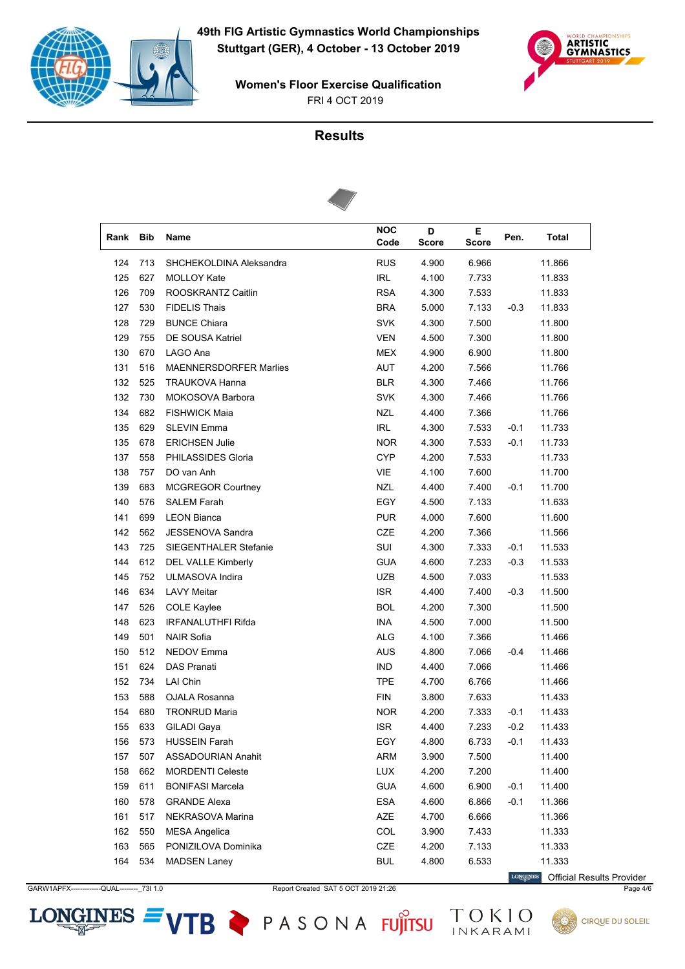



# **Results**



| Rank | Bib | Name                          | <b>NOC</b> | D     | Е     | Pen.   | Total  |
|------|-----|-------------------------------|------------|-------|-------|--------|--------|
|      |     |                               | Code       | Score | Score |        |        |
| 124  | 713 | SHCHEKOLDINA Aleksandra       | <b>RUS</b> | 4.900 | 6.966 |        | 11.866 |
| 125  | 627 | <b>MOLLOY Kate</b>            | <b>IRL</b> | 4.100 | 7.733 |        | 11.833 |
| 126  | 709 | ROOSKRANTZ Caitlin            | <b>RSA</b> | 4.300 | 7.533 |        | 11.833 |
| 127  | 530 | <b>FIDELIS Thais</b>          | <b>BRA</b> | 5.000 | 7.133 | $-0.3$ | 11.833 |
| 128  | 729 | <b>BUNCE Chiara</b>           | <b>SVK</b> | 4.300 | 7.500 |        | 11.800 |
| 129  | 755 | <b>DE SOUSA Katriel</b>       | <b>VEN</b> | 4.500 | 7.300 |        | 11.800 |
| 130  | 670 | LAGO Ana                      | MEX        | 4.900 | 6.900 |        | 11.800 |
| 131  | 516 | <b>MAENNERSDORFER Marlies</b> | AUT        | 4.200 | 7.566 |        | 11.766 |
| 132  | 525 | <b>TRAUKOVA Hanna</b>         | <b>BLR</b> | 4.300 | 7.466 |        | 11.766 |
| 132  | 730 | MOKOSOVA Barbora              | <b>SVK</b> | 4.300 | 7.466 |        | 11.766 |
| 134  | 682 | <b>FISHWICK Maia</b>          | <b>NZL</b> | 4.400 | 7.366 |        | 11.766 |
| 135  | 629 | <b>SLEVIN Emma</b>            | <b>IRL</b> | 4.300 | 7.533 | $-0.1$ | 11.733 |
| 135  | 678 | <b>ERICHSEN Julie</b>         | <b>NOR</b> | 4.300 | 7.533 | $-0.1$ | 11.733 |
| 137  | 558 | PHILASSIDES Gloria            | <b>CYP</b> | 4.200 | 7.533 |        | 11.733 |
| 138  | 757 | DO van Anh                    | VIE        | 4.100 | 7.600 |        | 11.700 |
| 139  | 683 | <b>MCGREGOR Courtney</b>      | <b>NZL</b> | 4.400 | 7.400 | $-0.1$ | 11.700 |
| 140  | 576 | <b>SALEM Farah</b>            | EGY        | 4.500 | 7.133 |        | 11.633 |
| 141  | 699 | <b>LEON Bianca</b>            | <b>PUR</b> | 4.000 | 7.600 |        | 11.600 |
| 142  | 562 | <b>JESSENOVA Sandra</b>       | <b>CZE</b> | 4.200 | 7.366 |        | 11.566 |
| 143  | 725 | <b>SIEGENTHALER Stefanie</b>  | SUI        | 4.300 | 7.333 | $-0.1$ | 11.533 |
| 144  | 612 | <b>DEL VALLE Kimberly</b>     | <b>GUA</b> | 4.600 | 7.233 | $-0.3$ | 11.533 |
| 145  | 752 | ULMASOVA Indira               | UZB        | 4.500 | 7.033 |        | 11.533 |
| 146  | 634 | <b>LAVY Meitar</b>            | <b>ISR</b> | 4.400 | 7.400 | $-0.3$ | 11.500 |
| 147  | 526 | <b>COLE Kaylee</b>            | <b>BOL</b> | 4.200 | 7.300 |        | 11.500 |
| 148  | 623 | <b>IRFANALUTHFI Rifda</b>     | <b>INA</b> | 4.500 | 7.000 |        | 11.500 |
| 149  | 501 | <b>NAIR Sofia</b>             | ALG        | 4.100 | 7.366 |        | 11.466 |
| 150  | 512 | NEDOV Emma                    | <b>AUS</b> | 4.800 | 7.066 | $-0.4$ | 11.466 |
| 151  | 624 | <b>DAS Pranati</b>            | <b>IND</b> | 4.400 | 7.066 |        | 11.466 |
| 152  | 734 | <b>LAI Chin</b>               | <b>TPE</b> | 4.700 | 6.766 |        | 11.466 |
| 153  | 588 | OJALA Rosanna                 | <b>FIN</b> | 3.800 | 7.633 |        | 11.433 |
| 154  | 680 | <b>TRONRUD Maria</b>          | <b>NOR</b> | 4.200 | 7.333 | $-0.1$ | 11.433 |
| 155  | 633 | <b>GILADI</b> Gaya            | <b>ISR</b> | 4.400 | 7.233 | $-0.2$ | 11.433 |
| 156  | 573 | <b>HUSSEIN Farah</b>          | EGY        | 4.800 | 6.733 | $-0.1$ | 11.433 |
| 157  | 507 | <b>ASSADOURIAN Anahit</b>     | <b>ARM</b> | 3.900 | 7.500 |        | 11.400 |
| 158  | 662 | <b>MORDENTI Celeste</b>       | LUX        | 4.200 | 7.200 |        | 11.400 |
| 159  | 611 | <b>BONIFASI Marcela</b>       | <b>GUA</b> | 4.600 | 6.900 | $-0.1$ | 11.400 |
| 160  | 578 | <b>GRANDE Alexa</b>           | ESA        | 4.600 | 6.866 | $-0.1$ | 11.366 |
| 161  | 517 | NEKRASOVA Marina              | AZE        | 4.700 | 6.666 |        | 11.366 |
| 162  | 550 | <b>MESA Angelica</b>          | COL        | 3.900 | 7.433 |        | 11.333 |
| 163  | 565 | PONIZILOVA Dominika           | CZE        | 4.200 | 7.133 |        | 11.333 |
| 164  | 534 | <b>MADSEN Laney</b>           | <b>BUL</b> | 4.800 | 6.533 |        | 11.333 |

GARW1APFX------------QUAL---------\_73I 1.0 Report Created SAT 5 OCT 2019 21:26 Page 4/6

**LONGINES** Official Results Provider

**CIRQUE DU SOLEIL** 



VTB PASONA FUJITSU TOKIO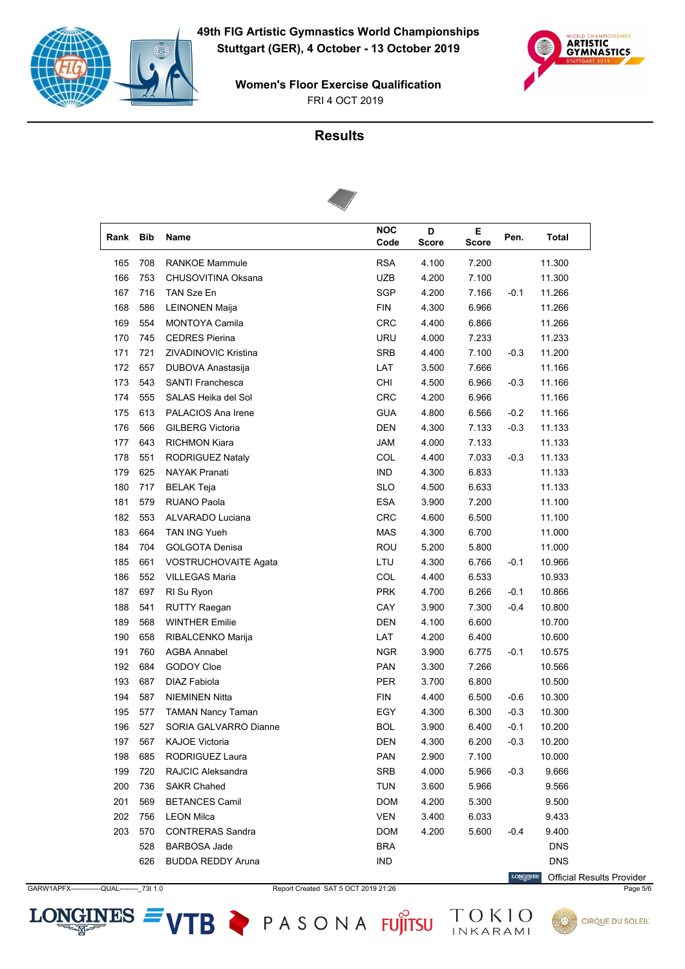



# **Results**



| Rank | Bib | Name                        | <b>NOC</b><br>Code | D<br><b>Score</b> | Е<br>Score | Pen.   | Total      |
|------|-----|-----------------------------|--------------------|-------------------|------------|--------|------------|
| 165  | 708 | <b>RANKOE Mammule</b>       | <b>RSA</b>         | 4.100             | 7.200      |        | 11.300     |
| 166  | 753 | CHUSOVITINA Oksana          | UZB                | 4.200             | 7.100      |        | 11.300     |
| 167  | 716 | TAN Sze En                  | <b>SGP</b>         | 4.200             | 7.166      | $-0.1$ | 11.266     |
| 168  | 586 | <b>LEINONEN Maija</b>       | <b>FIN</b>         | 4.300             | 6.966      |        | 11.266     |
| 169  | 554 | <b>MONTOYA Camila</b>       | CRC                | 4.400             | 6.866      |        | 11.266     |
| 170  | 745 | <b>CEDRES Pierina</b>       | URU                | 4.000             | 7.233      |        | 11.233     |
| 171  | 721 | <b>ZIVADINOVIC Kristina</b> | <b>SRB</b>         | 4.400             | 7.100      | $-0.3$ | 11.200     |
| 172  | 657 | DUBOVA Anastasija           | LAT                | 3.500             | 7.666      |        | 11.166     |
| 173  | 543 | <b>SANTI Franchesca</b>     | <b>CHI</b>         | 4.500             | 6.966      | $-0.3$ | 11.166     |
| 174  | 555 | SALAS Heika del Sol         | <b>CRC</b>         | 4.200             | 6.966      |        | 11.166     |
| 175  | 613 | PALACIOS Ana Irene          | <b>GUA</b>         | 4.800             | 6.566      | $-0.2$ | 11.166     |
| 176  | 566 | <b>GILBERG Victoria</b>     | <b>DEN</b>         | 4.300             | 7.133      | $-0.3$ | 11.133     |
| 177  | 643 | <b>RICHMON Kiara</b>        | <b>JAM</b>         | 4.000             | 7.133      |        | 11.133     |
| 178  | 551 | RODRIGUEZ Nataly            | COL                | 4.400             | 7.033      | $-0.3$ | 11.133     |
| 179  | 625 | <b>NAYAK Pranati</b>        | <b>IND</b>         | 4.300             | 6.833      |        | 11.133     |
| 180  | 717 | <b>BELAK Teja</b>           | <b>SLO</b>         | 4.500             | 6.633      |        | 11.133     |
| 181  | 579 | <b>RUANO Paola</b>          | ESA                | 3.900             | 7.200      |        | 11.100     |
| 182  | 553 | ALVARADO Luciana            | <b>CRC</b>         | 4.600             | 6.500      |        | 11.100     |
| 183  | 664 | TAN ING Yueh                | <b>MAS</b>         | 4.300             | 6.700      |        | 11.000     |
| 184  | 704 | <b>GOLGOTA Denisa</b>       | <b>ROU</b>         | 5.200             | 5.800      |        | 11.000     |
| 185  | 661 | VOSTRUCHOVAITE Agata        | LTU                | 4.300             | 6.766      | $-0.1$ | 10.966     |
| 186  | 552 | <b>VILLEGAS Maria</b>       | COL                | 4.400             | 6.533      |        | 10.933     |
| 187  | 697 | RI Su Ryon                  | <b>PRK</b>         | 4.700             | 6.266      | $-0.1$ | 10.866     |
| 188  | 541 | RUTTY Raegan                | CAY                | 3.900             | 7.300      | $-0.4$ | 10.800     |
| 189  | 568 | <b>WINTHER Emilie</b>       | <b>DEN</b>         | 4.100             | 6.600      |        | 10.700     |
| 190  | 658 | RIBALCENKO Marija           | LAT                | 4.200             | 6.400      |        | 10.600     |
| 191  | 760 | AGBA Annabel                | <b>NGR</b>         | 3.900             | 6.775      | $-0.1$ | 10.575     |
| 192  | 684 | GODOY Cloe                  | <b>PAN</b>         | 3.300             | 7.266      |        | 10.566     |
| 193  | 687 | <b>DIAZ Fabiola</b>         | PER                | 3.700             | 6.800      |        | 10.500     |
| 194  | 587 | <b>NIEMINEN Nitta</b>       | <b>FIN</b>         | 4.400             | 6.500      | $-0.6$ | 10.300     |
| 195  | 577 | <b>TAMAN Nancy Taman</b>    | EGY                | 4.300             | 6.300      | $-0.3$ | 10.300     |
| 196  | 527 | SORIA GALVARRO Dianne       | <b>BOL</b>         | 3.900             | 6.400      | $-0.1$ | 10.200     |
| 197  | 567 | <b>KAJOE Victoria</b>       | DEN                | 4.300             | 6.200      | $-0.3$ | 10.200     |
| 198  | 685 | RODRIGUEZ Laura             | <b>PAN</b>         | 2.900             | 7.100      |        | 10.000     |
| 199  | 720 | RAJCIC Aleksandra           | SRB                | 4.000             | 5.966      | $-0.3$ | 9.666      |
| 200  | 736 | <b>SAKR Chahed</b>          | <b>TUN</b>         | 3.600             | 5.966      |        | 9.566      |
| 201  | 569 | <b>BETANCES Camil</b>       | <b>DOM</b>         | 4.200             | 5.300      |        | 9.500      |
| 202  | 756 | <b>LEON Milca</b>           | <b>VEN</b>         | 3.400             | 6.033      |        | 9.433      |
| 203  | 570 | <b>CONTRERAS Sandra</b>     | <b>DOM</b>         | 4.200             | 5.600      | $-0.4$ | 9.400      |
|      | 528 | <b>BARBOSA Jade</b>         | <b>BRA</b>         |                   |            |        | <b>DNS</b> |
|      | 626 | <b>BUDDA REDDY Aruna</b>    | <b>IND</b>         |                   |            |        | <b>DNS</b> |

GARW1APFX------------QUAL---------\_73I 1.0 Report Created SAT 5 OCT 2019 21:26 Page 5/6

 $\label{eq:conformal} \begin{minipage}{.4\linewidth} \textbf{LONGINES} \end{minipage}$ Official Results Provider

**CIRQUE DU SOLEIL**